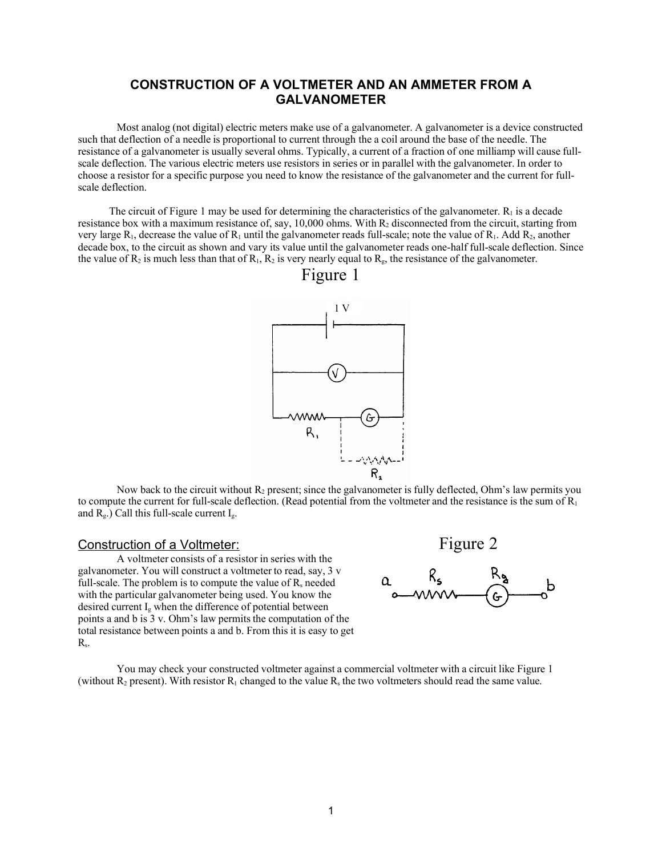### **CONSTRUCTION OF A VOLTMETER AND AN AMMETER FROM A GALVANOMETER**

Most analog (not digital) electric meters make use of a galvanometer. A galvanometer is a device constructed such that deflection of a needle is proportional to current through the a coil around the base of the needle. The resistance of a galvanometer is usually several ohms. Typically, a current of a fraction of one milliamp will cause fullscale deflection. The various electric meters use resistors in series or in parallel with the galvanometer. In order to choose a resistor for a specific purpose you need to know the resistance of the galvanometer and the current for fullscale deflection.

The circuit of Figure 1 may be used for determining the characteristics of the galvanometer.  $R_1$  is a decade resistance box with a maximum resistance of, say, 10,000 ohms. With  $R_2$  disconnected from the circuit, starting from very large  $R_1$ , decrease the value of  $R_1$  until the galvanometer reads full-scale; note the value of  $R_1$ . Add  $R_2$ , another decade box, to the circuit as shown and vary its value until the galvanometer reads one-half full-scale deflection. Since the value of  $R_2$  is much less than that of  $R_1$ ,  $R_2$  is very nearly equal to  $R_g$ , the resistance of the galvanometer.



### Figure 1

Now back to the circuit without  $R_2$  present; since the galvanometer is fully deflected. Ohm's law permits you to compute the current for full-scale deflection. (Read potential from the voltmeter and the resistance is the sum of  $R_1$ and  $R_g$ .) Call this full-scale current  $I_g$ .

A voltmeter consists of a resistor in series with the galvanometer. You will construct a voltmeter to read, say, 3 v full-scale. The problem is to compute the value of  $R_s$  needed with the particular galvanometer being used. You know the desired current I<sub>g</sub> when the difference of potential between points a and b is 3 v. Ohm's law permits the computation of the total resistance between points a and b. From this it is easy to get Rs.



You may check your constructed voltmeter against a commercial voltmeter with a circuit like Figure 1 (without  $R_2$  present). With resistor  $R_1$  changed to the value  $R_s$  the two voltmeters should read the same value.